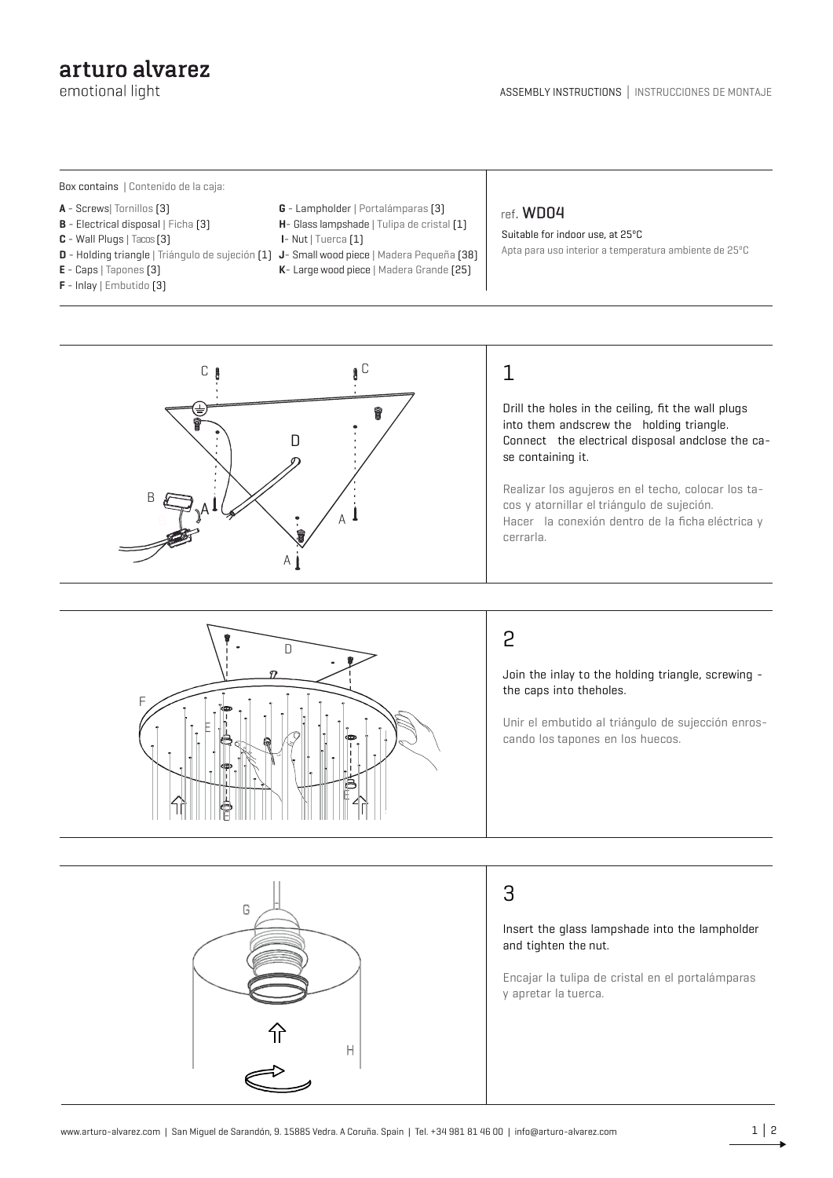### arturo alvarez

emotional light

Box contains | Contenido de la caja:

- **A** Screws| Tornillos (3)
- **B** Electrical disposal | Ficha [3]

F

E

E

G

- **C** Wall Plugs | Tacos (3)
- **D** Holding triangle | Triángulo de sujeción (1) **J** Small wood piece | Madera Pequeña (38)
- **E** Caps | Tapones (3)
- **F** Inlay | Embutido (3)
- **G** Lampholder | Portalámparas (3) **H**- Glass lampshade | Tulipa de cristal (1)
- **I** Nut | Tuerca (1)
- 
- **K** Large wood piece | Madera Grande (25)

#### ref. WD04

Suitable for indoor use, at 25ºC Apta para uso interior a temperatura ambiente de 25ºC



# 1

Drill the holes in the ceiling, fit the wall plugs into them andscrew the holding triangle. Connect the electrical disposal andclose the case containing it.

Realizar los agujeros en el techo, colocar los tacos y atornillar el triángulo de sujeción. Hacer la conexión dentro de la ficha eléctrica y cerrarla.



E

# 2

Join the inlay to the holding triangle, screwing the caps into theholes.

Unir el embutido al triángulo de sujección enroscando los tapones en los huecos.

## 3

Insert the glass lampshade into the lampholder and tighten the nut.

Encajar la tulipa de cristal en el portalámparas y apretar la tuerca.

H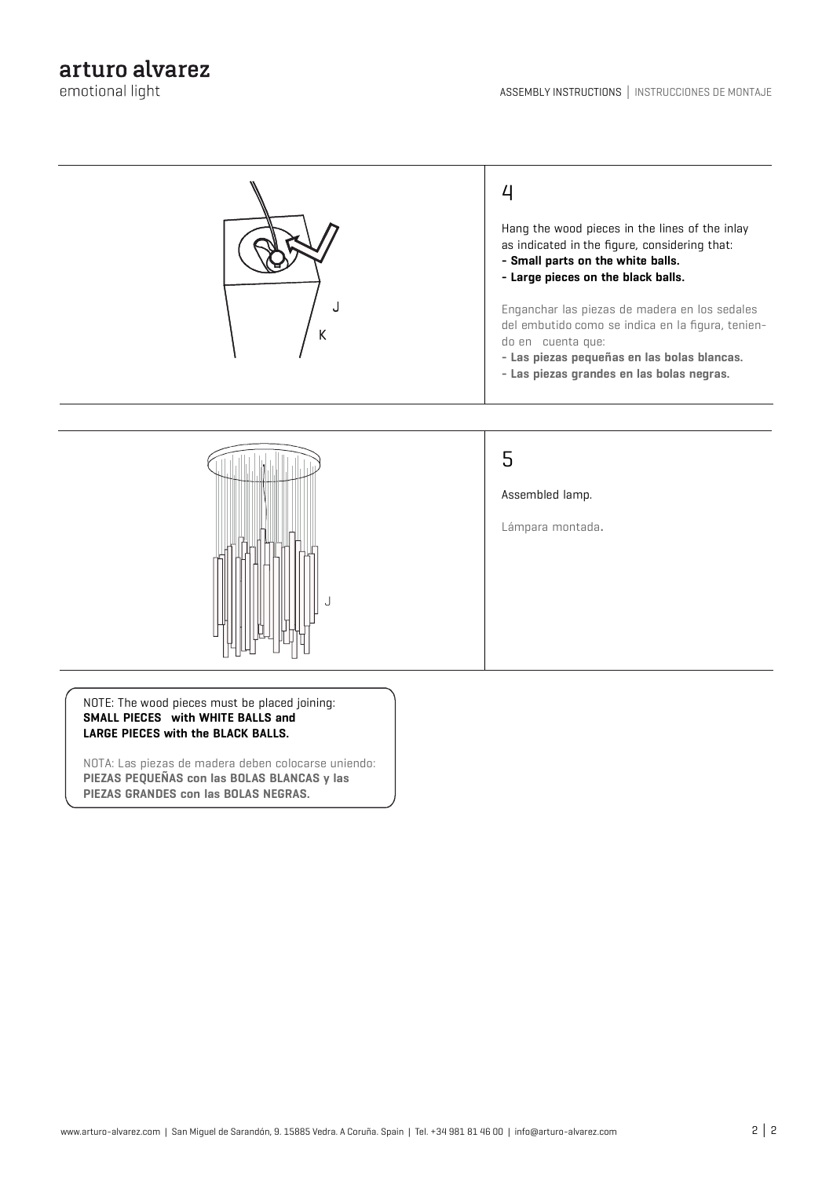

NOTE: The wood pieces must be placed joining: **SMALL PIECES with WHITE BALLS and LARGE PIECES with the BLACK BALLS.**

NOTA: Las piezas de madera deben colocarse uniendo: **PIEZAS PEQUEÑAS con las BOLAS BLANCAS y las PIEZAS GRANDES con las BOLAS NEGRAS.**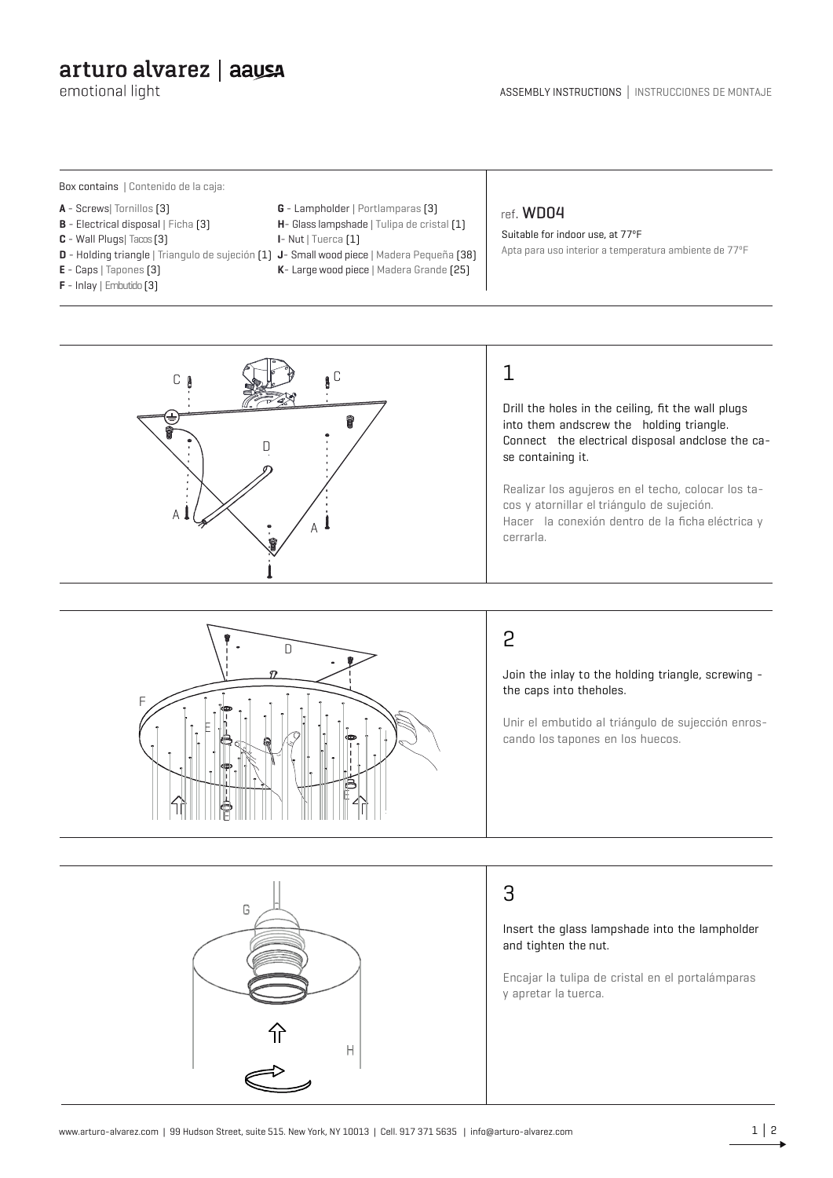# arturo alvarez | aaysa

emotional light

Box contains | Contenido de la caja:

- **A** Screws| Tornillos (3)
- **B** Electrical disposal | Ficha [3]

F

E

E

- **C** Wall Plugs| Tacos (3)
- **D** Holding triangle | Triangulo de sujeción (1) **J** Small wood piece | Madera Pequeña (38)
- **E** Caps | Tapones (3)
- **F** Inlay | Embutido (3)
- **G** Lampholder | Portlamparas (3) **H**- Glass lampshade | Tulipa de cristal (1)
- **I** Nut | Tuerca (1)
- 
- **K** Large wood piece | Madera Grande (25)

#### ref. WD04

Suitable for indoor use, at 77ºF Apta para uso interior a temperatura ambiente de 77ºF



# 1

Drill the holes in the ceiling, fit the wall plugs into them andscrew the holding triangle. Connect the electrical disposal andclose the case containing it.

Realizar los agujeros en el techo, colocar los tacos y atornillar el triángulo de sujeción. Hacer la conexión dentro de la ficha eléctrica y cerrarla.



Join the inlay to the holding triangle, screwing the caps into theholes.

Unir el embutido al triángulo de sujección enroscando los tapones en los huecos.



 $\Box$ 

E

## 3

Insert the glass lampshade into the lampholder and tighten the nut.

Encajar la tulipa de cristal en el portalámparas y apretar la tuerca.